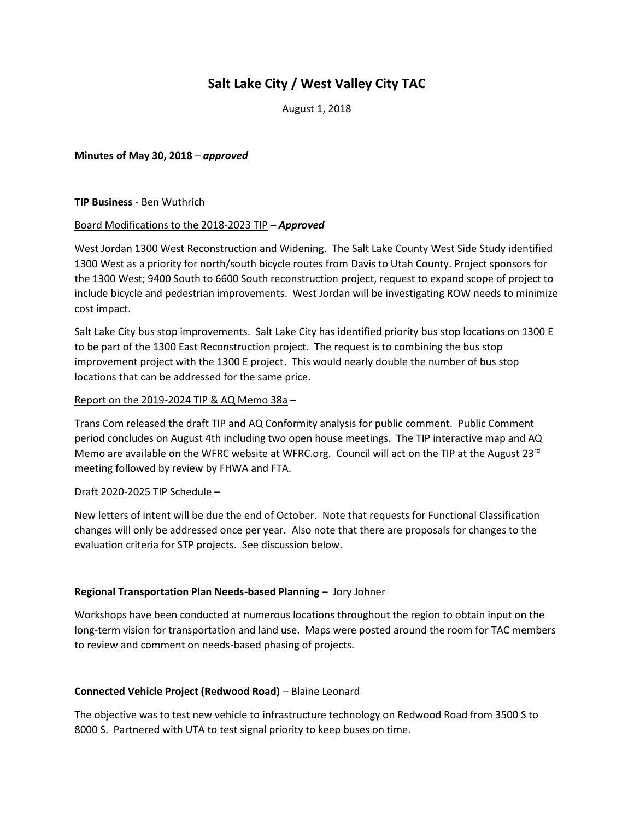# **Salt Lake City / West Valley City TAC**

August 1, 2018

**Minutes of May 30, 2018** – *approved*

**TIP Business** - Ben Wuthrich

#### Board Modifications to the 2018-2023 TIP – *Approved*

West Jordan 1300 West Reconstruction and Widening. The Salt Lake County West Side Study identified 1300 West as a priority for north/south bicycle routes from Davis to Utah County. Project sponsors for the 1300 West; 9400 South to 6600 South reconstruction project, request to expand scope of project to include bicycle and pedestrian improvements. West Jordan will be investigating ROW needs to minimize cost impact.

Salt Lake City bus stop improvements. Salt Lake City has identified priority bus stop locations on 1300 E to be part of the 1300 East Reconstruction project. The request is to combining the bus stop improvement project with the 1300 E project. This would nearly double the number of bus stop locations that can be addressed for the same price.

#### Report on the 2019-2024 TIP & AQ Memo 38a –

Trans Com released the draft TIP and AQ Conformity analysis for public comment. Public Comment period concludes on August 4th including two open house meetings. The TIP interactive map and AQ Memo are available on the WFRC website at WFRC.org. Council will act on the TIP at the August 23<sup>rd</sup> meeting followed by review by FHWA and FTA.

### Draft 2020-2025 TIP Schedule –

New letters of intent will be due the end of October. Note that requests for Functional Classification changes will only be addressed once per year. Also note that there are proposals for changes to the evaluation criteria for STP projects. See discussion below.

### **Regional Transportation Plan Needs-based Planning** – Jory Johner

Workshops have been conducted at numerous locations throughout the region to obtain input on the long-term vision for transportation and land use. Maps were posted around the room for TAC members to review and comment on needs-based phasing of projects.

### **Connected Vehicle Project (Redwood Road)** – Blaine Leonard

The objective was to test new vehicle to infrastructure technology on Redwood Road from 3500 S to 8000 S. Partnered with UTA to test signal priority to keep buses on time.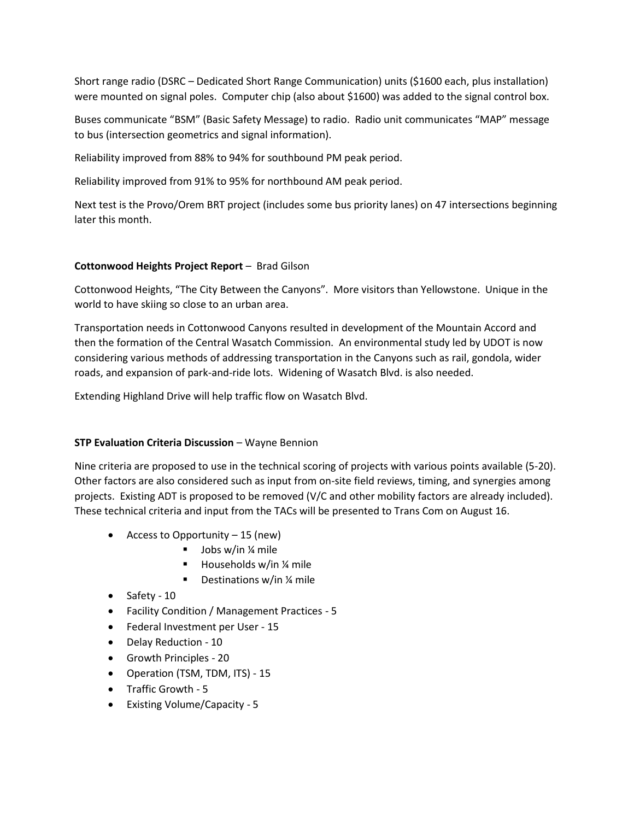Short range radio (DSRC – Dedicated Short Range Communication) units (\$1600 each, plus installation) were mounted on signal poles. Computer chip (also about \$1600) was added to the signal control box.

Buses communicate "BSM" (Basic Safety Message) to radio. Radio unit communicates "MAP" message to bus (intersection geometrics and signal information).

Reliability improved from 88% to 94% for southbound PM peak period.

Reliability improved from 91% to 95% for northbound AM peak period.

Next test is the Provo/Orem BRT project (includes some bus priority lanes) on 47 intersections beginning later this month.

## **Cottonwood Heights Project Report** – Brad Gilson

Cottonwood Heights, "The City Between the Canyons". More visitors than Yellowstone. Unique in the world to have skiing so close to an urban area.

Transportation needs in Cottonwood Canyons resulted in development of the Mountain Accord and then the formation of the Central Wasatch Commission. An environmental study led by UDOT is now considering various methods of addressing transportation in the Canyons such as rail, gondola, wider roads, and expansion of park-and-ride lots. Widening of Wasatch Blvd. is also needed.

Extending Highland Drive will help traffic flow on Wasatch Blvd.

### **STP Evaluation Criteria Discussion** – Wayne Bennion

Nine criteria are proposed to use in the technical scoring of projects with various points available (5-20). Other factors are also considered such as input from on-site field reviews, timing, and synergies among projects. Existing ADT is proposed to be removed (V/C and other mobility factors are already included). These technical criteria and input from the TACs will be presented to Trans Com on August 16.

- Access to Opportunity 15 (new)
	- $\blacksquare$  Jobs w/in ¼ mile
	- Households w/in  $\frac{1}{4}$  mile
	- Destinations w/in ¼ mile
- Safety 10
- Facility Condition / Management Practices 5
- Federal Investment per User 15
- Delay Reduction 10
- Growth Principles 20
- Operation (TSM, TDM, ITS) 15
- Traffic Growth 5
- Existing Volume/Capacity 5